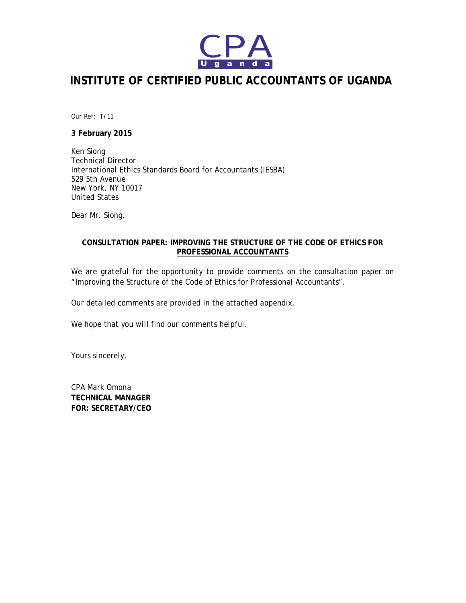

# **INSTITUTE OF CERTIFIED PUBLIC ACCOUNTANTS OF UGANDA**

*Our Ref: T/11*

### **3 February 2015**

Ken Siong Technical Director International Ethics Standards Board for Accountants (IESBA) 529 5th Avenue New York, NY 10017 United States

Dear Mr. Siong,

## **CONSULTATION PAPER: IMPROVING THE STRUCTURE OF THE CODE OF ETHICS FOR PROFESSIONAL ACCOUNTANTS**

We are grateful for the opportunity to provide comments on the consultation paper on "Improving the Structure of the Code of Ethics for Professional Accountants".

Our detailed comments are provided in the attached appendix.

We hope that you will find our comments helpful.

Yours sincerely,

CPA Mark Omona **TECHNICAL MANAGER FOR: SECRETARY/CEO**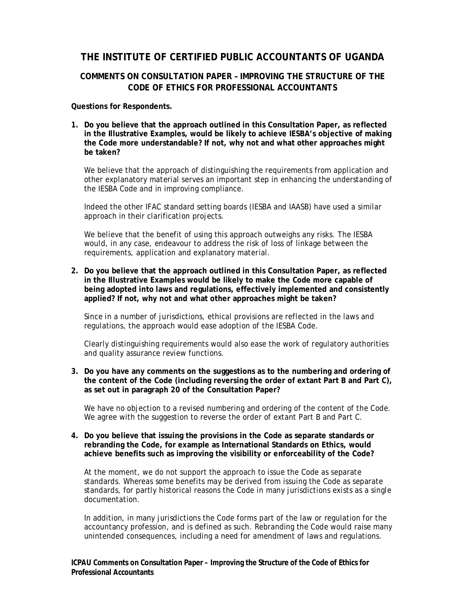# **THE INSTITUTE OF CERTIFIED PUBLIC ACCOUNTANTS OF UGANDA**

# **COMMENTS ON CONSULTATION PAPER – IMPROVING THE STRUCTURE OF THE CODE OF ETHICS FOR PROFESSIONAL ACCOUNTANTS**

#### **Questions for Respondents.**

**1. Do you believe that the approach outlined in this Consultation Paper, as reflected in the Illustrative Examples, would be likely to achieve IESBA's objective of making the Code more understandable? If not, why not and what other approaches might be taken?** 

We believe that the approach of distinguishing the requirements from application and other explanatory material serves an important step in enhancing the understanding of the IESBA Code and in improving compliance.

Indeed the other IFAC standard setting boards (IESBA and IAASB) have used a similar approach in their clarification projects.

We believe that the benefit of using this approach outweighs any risks. The IESBA would, in any case, endeavour to address the risk of loss of linkage between the requirements, application and explanatory material.

#### **2. Do you believe that the approach outlined in this Consultation Paper, as reflected in the Illustrative Examples would be likely to make the Code more capable of being adopted into laws and regulations, effectively implemented and consistently applied? If not, why not and what other approaches might be taken?**

Since in a number of jurisdictions, ethical provisions are reflected in the laws and regulations, the approach would ease adoption of the IESBA Code.

Clearly distinguishing requirements would also ease the work of regulatory authorities and quality assurance review functions.

#### **3. Do you have any comments on the suggestions as to the numbering and ordering of the content of the Code (including reversing the order of extant Part B and Part C), as set out in paragraph 20 of the Consultation Paper?**

We have no objection to a revised numbering and ordering of the content of the Code. We agree with the suggestion to reverse the order of extant Part B and Part C.

#### **4. Do you believe that issuing the provisions in the Code as separate standards or rebranding the Code, for example as International Standards on Ethics, would achieve benefits such as improving the visibility or enforceability of the Code?**

At the moment, we do not support the approach to issue the Code as separate standards. Whereas some benefits may be derived from issuing the Code as separate standards, for partly historical reasons the Code in many jurisdictions exists as a single documentation.

In addition, in many jurisdictions the Code forms part of the law or regulation for the accountancy profession, and is defined as such. Rebranding the Code would raise many unintended consequences, including a need for amendment of laws and regulations.